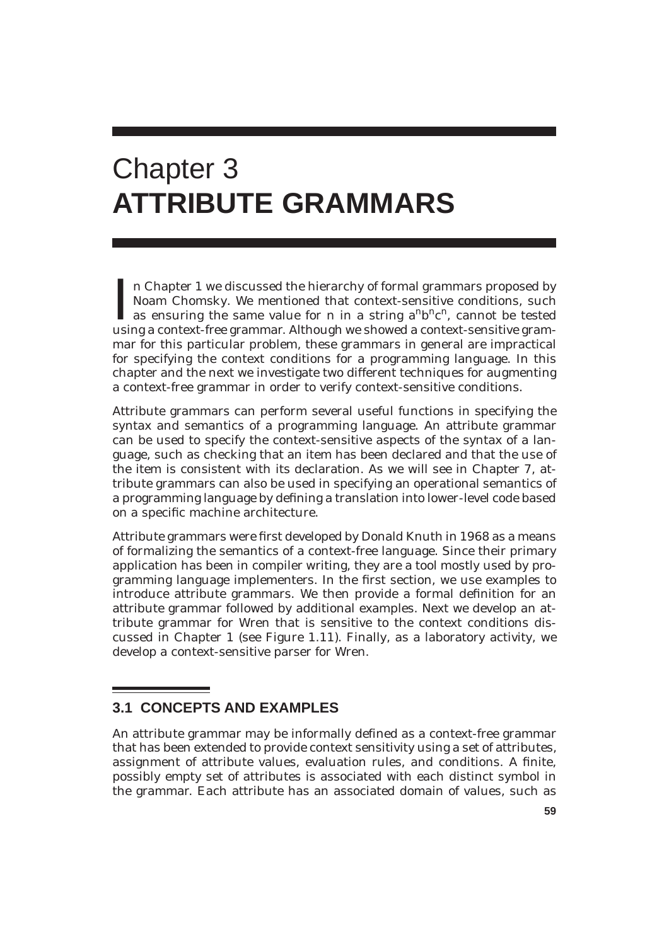# Chapter 3 **ATTRIBUTE GRAMMARS**

In Chapter 1 we discussed the hierarchy of formal grammars proposed by Noam Chomsky. We mentioned that context-sensitive conditions, such as ensuring the same value for n in a string  $a<sup>n</sup>b<sup>n</sup>c<sup>n</sup>$ , cannot be teste n Chapter 1 we discussed the hierarchy of formal grammars proposed by Noam Chomsky. We mentioned that context-sensitive conditions, such as ensuring the same value for n in a string  $a<sup>n</sup>b<sup>n</sup>c<sup>n</sup>$ , cannot be tested mar for this particular problem, these grammars in general are impractical for specifying the context conditions for a programming language. In this chapter and the next we investigate two different techniques for augmenting a context-free grammar in order to verify context-sensitive conditions.

Attribute grammars can perform several useful functions in specifying the syntax and semantics of a programming language. An attribute grammar can be used to specify the context-sensitive aspects of the syntax of a language, such as checking that an item has been declared and that the use of the item is consistent with its declaration. As we will see in Chapter 7, attribute grammars can also be used in specifying an operational semantics of a programming language by defining a translation into lower-level code based on a specific machine architecture.

Attribute grammars were first developed by Donald Knuth in 1968 as a means of formalizing the semantics of a context-free language. Since their primary application has been in compiler writing, they are a tool mostly used by programming language implementers. In the first section, we use examples to introduce attribute grammars. We then provide a formal definition for an attribute grammar followed by additional examples. Next we develop an attribute grammar for Wren that is sensitive to the context conditions discussed in Chapter 1 (see Figure 1.11). Finally, as a laboratory activity, we develop a context-sensitive parser for Wren.

## **3.1 CONCEPTS AND EXAMPLES**

An attribute grammar may be informally defined as a context-free grammar that has been extended to provide context sensitivity using a set of attributes, assignment of attribute values, evaluation rules, and conditions. A finite, possibly empty set of attributes is associated with each distinct symbol in the grammar. Each attribute has an associated domain of values, such as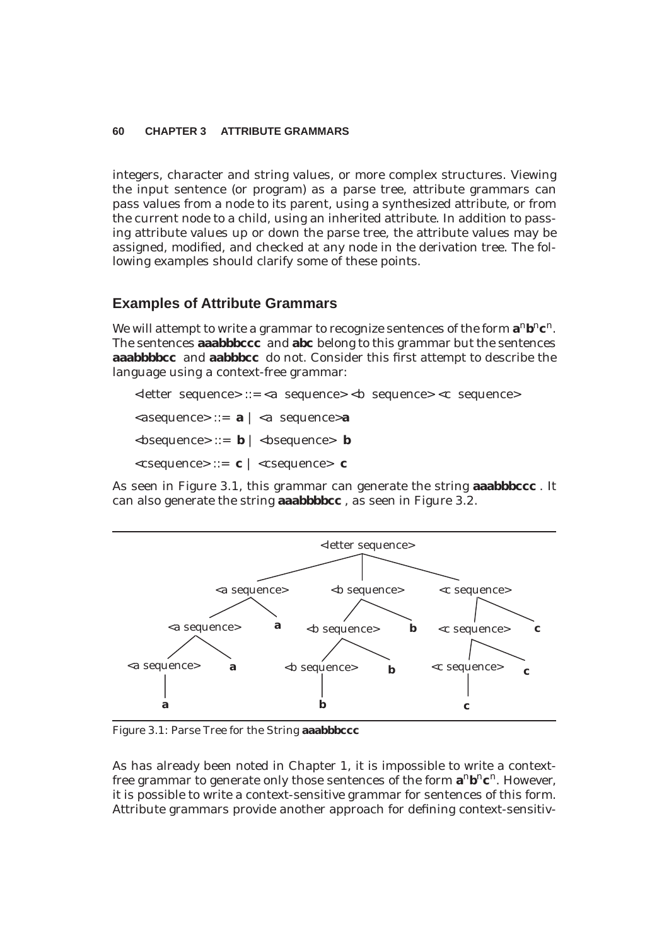integers, character and string values, or more complex structures. Viewing the input sentence (or program) as a parse tree, attribute grammars can pass values from a node to its parent, using a synthesized attribute, or from the current node to a child, using an inherited attribute. In addition to passing attribute values up or down the parse tree, the attribute values may be assigned, modified, and checked at any node in the derivation tree. The following examples should clarify some of these points.

## **Examples of Attribute Grammars**

We will attempt to write a grammar to recognize sentences of the form  $\mathbf{a}^n \mathbf{b}^n \mathbf{c}^n$ . The sentences **aaabbbccc** and **abc** belong to this grammar but the sentences **aaabbbbcc** and **aabbbcc** do not. Consider this first attempt to describe the language using a context-free grammar:

<letter sequence> ::= <a sequence> <b sequence> <c sequence>  $\leq$ asequence $>$ ::= **a**  $\mid$   $\leq$ a sequence $>$ **a**  $\leq$ bsequence $> ::=$  **b**  $|$   $\leq$ bsequence $>$  **b** <csequence> ::= **c** | <csequence> **c**

As seen in Figure 3.1, this grammar can generate the string **aaabbbccc** . It can also generate the string **aaabbbbcc** , as seen in Figure 3.2.



*Figure 3.1*: Parse Tree for the String **aaabbbccc**

As has already been noted in Chapter 1, it is impossible to write a contextfree grammar to generate only those sentences of the form  $\mathbf{a}^n \mathbf{b}^n \mathbf{c}^n$ . However, it is possible to write a context-sensitive grammar for sentences of this form. Attribute grammars provide another approach for defining context-sensitiv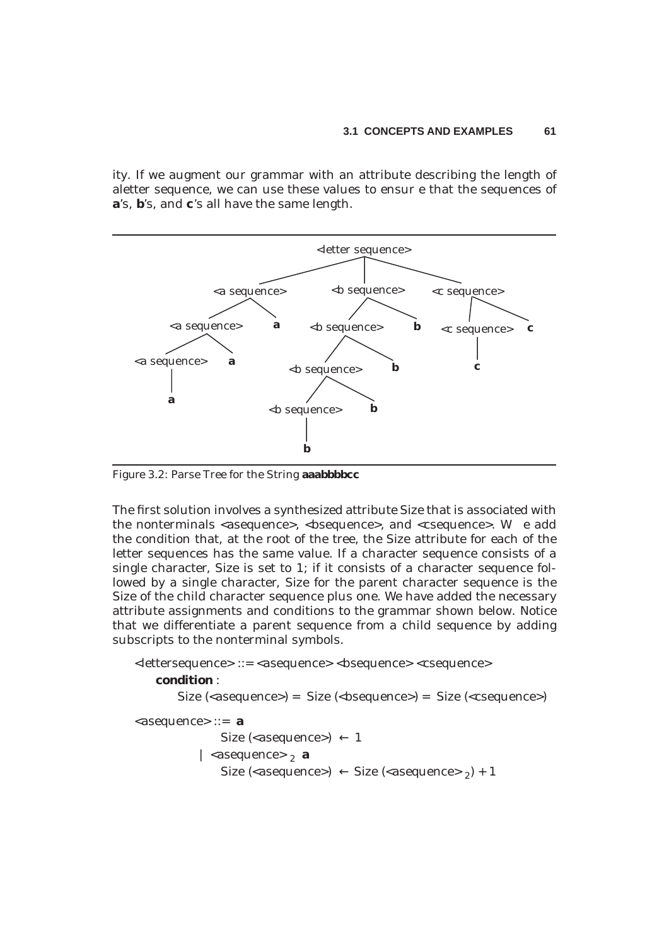ity. If we augment our grammar with an attribute describing the length of aletter sequence, we can use these values to ensur e that the sequences of **a**'s, **b**'s, and **c**'s all have the same length.



*Figure 3.2*: Parse Tree for the String **aaabbbbcc**

The first solution involves a synthesized attribute *Size* that is associated with the nonterminals <asequence>, <br/>sequence>, and <csequence>. W e add the condition that, at the root of the tree, the *Size* attribute for each of the letter sequences has the same value. If a character sequence consists of a single character, *Size* is set to 1; if it consists of a character sequence followed by a single character, *Size* for the parent character sequence is the *Size* of the child character sequence plus one. We have added the necessary attribute assignments and conditions to the grammar shown below. Notice that we differentiate a parent sequence from a child sequence by adding subscripts to the nonterminal symbols.

```
<lettersequence> ::= <asequence> <bsequence> <csequence>
   condition :
       Size (<asequence>) = Size (<br/>cbsequence>) = Size (<csequence>)
<asequence> ::= a
               Size (<asequence>) \leftarrow 1
            \vert <asequence> \vert a
                Size (<asequence>) \leftarrow Size (<asequence> _2) + 1
```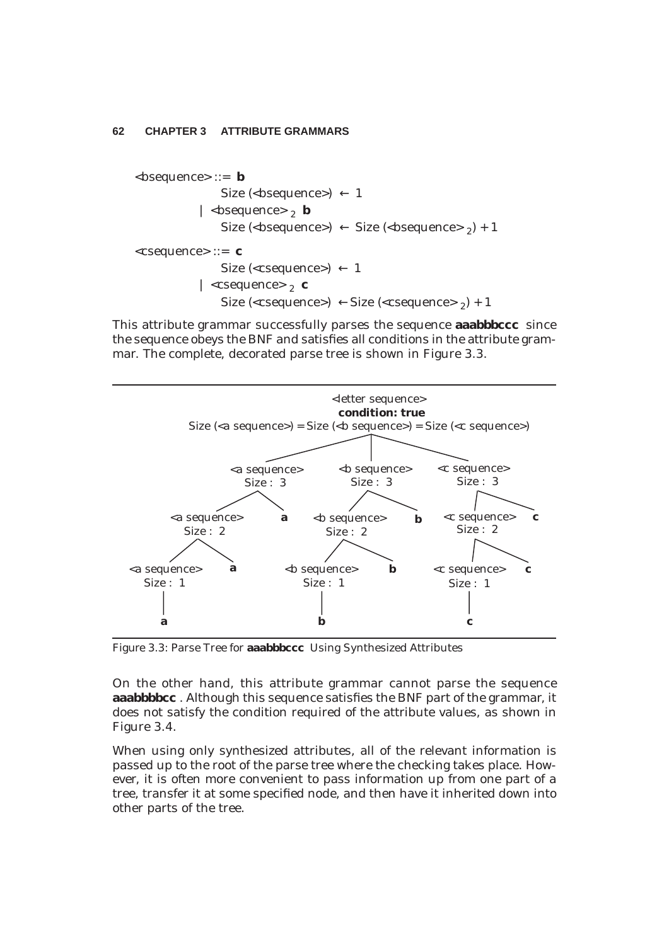```
<bsequence> ::= b
                     Size (<br/>bsequence>) \leftarrow 1
                | \langlebsequence> <sub>2</sub> b
                     Size (<br/>bsequence>) ← Size (<br/>bsequence> _2) + 1
<csequence> ::= c
                     Size (<csequence>) \leftarrow 1
                \vert <csequence> \vert c
                     Size \langle <csequence>\rangle \langle \langleSize \langle <csequence> \partial\rangle + 1
```
This attribute grammar successfully parses the sequence **aaabbbccc** since the sequence obeys the BNF and satisfies all conditions in the attribute grammar. The complete, decorated parse tree is shown in Figure 3.3.



*Figure 3.3*: Parse Tree for **aaabbbccc** Using Synthesized Attributes

On the other hand, this attribute grammar cannot parse the sequence **aaabbbbcc** . Although this sequence satisfies the BNF part of the grammar, it does not satisfy the condition required of the attribute values, as shown in Figure 3.4.

When using only synthesized attributes, all of the relevant information is passed up to the root of the parse tree where the checking takes place. However, it is often more convenient to pass information up from one part of a tree, transfer it at some specified node, and then have it inherited down into other parts of the tree.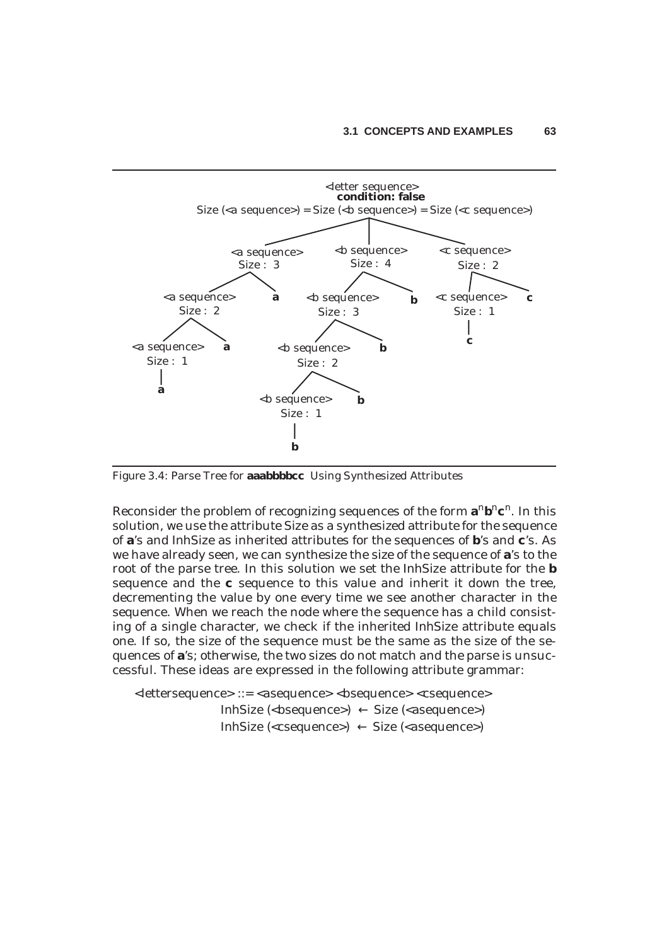

*Figure 3.4*: Parse Tree for **aaabbbbcc** Using Synthesized Attributes

Reconsider the problem of recognizing sequences of the form **a**n**b**n**c**n. In this solution, we use the attribute *Size* as a synthesized attribute for the sequence of **a**'s and *InhSize* as inherited attributes for the sequences of **b**'s and **c**'s. As we have already seen, we can synthesize the size of the sequence of **a**'s to the root of the parse tree. In this solution we set the *InhSize* attribute for the **b** sequence and the **c** sequence to this value and inherit it down the tree, decrementing the value by one every time we see another character in the sequence. When we reach the node where the sequence has a child consisting of a single character, we check if the inherited *InhSize* attribute equals one. If so, the size of the sequence must be the same as the size of the sequences of **a**'s; otherwise, the two sizes do not match and the parse is unsuccessful. These ideas are expressed in the following attribute grammar:

<lettersequence> ::= <asequence> <bsequence> <csequence> *InhSize*  $(\text{else} \ge) \leftarrow \text{Size}$   $(\text{case} \le)$ *InhSize*  $\langle$  <csequence> $\rangle$   $\langle$  *Size*  $\langle$  <asequence> $\rangle$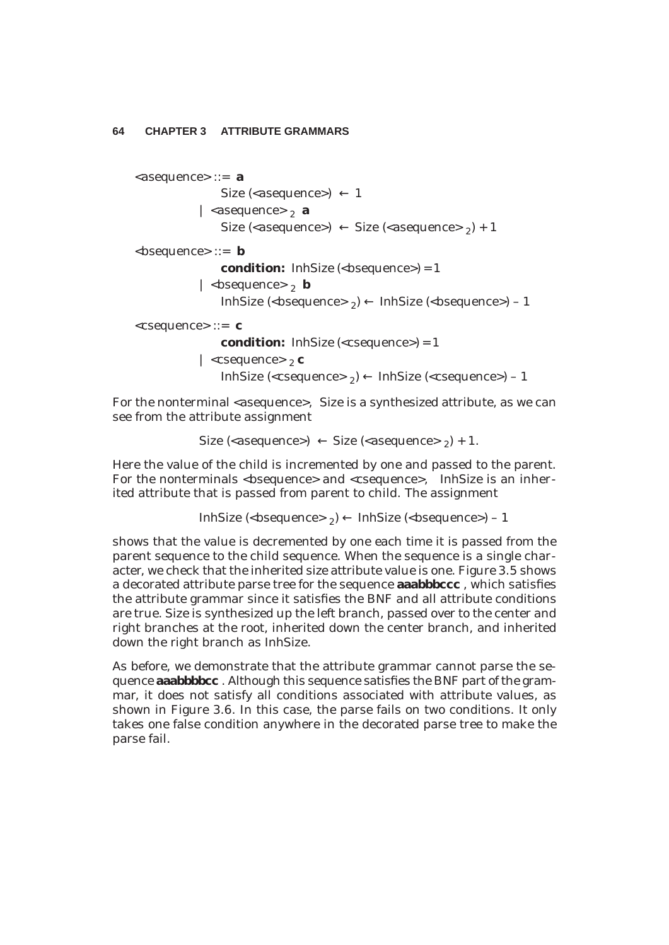```
<asequence> ::= a
                                 Size (<asequence>) \leftarrow 1
                          \vert <asequence> \vert a
                                  Size (<asequence>) \leftarrow Size (<asequence> <sub>2</sub>) + 1
<bsequence> ::= b
                                 condition: InhSize (<br/>bsequence>) = 1
                          | \langlebsequence\rangle<sub>2</sub> b
                                  InhSize \langle -bsequence> _2) \leftarrow InhSize \langle -bsequence>) - 1
<csequence> ::= c
                                 condition: InhSize (<csequence>) = 1
                          \vert <csequence> \vert c
                                 InhSize \langle \text{c} \rangle \langle \text{c} \rangle \langle \text{c} \rangle \langle \text{d} \rangle \langle \text{d} \rangle \langle \text{d} \rangle \langle \text{c} \rangle \langle \text{c} \rangle \langle \text{d} \rangle \langle \text{d} \rangle \langle \text{d} \rangle \langle \text{d} \rangle \langle \text{d} \rangle \langle \text{d} \rangle \langle \text{d} \rangle \langle \text{d} \rangle \langle \text{d} \rangle \langle \text{d
```
For the nonterminal <asequence>, *Size* is a synthesized attribute, as we can see from the attribute assignment

*Size* (<asequence>)  $\leftarrow$  *Size* (<asequence>  $_2$ ) + 1.

Here the value of the child is incremented by one and passed to the parent. For the nonterminals <br/>bsequence> and <csequence>, $\;$  InhSize is an inherited attribute that is passed from parent to child. The assignment

```
InhSize \langle bsequence> _2\rangle \leftarrow InhSize \langle bsequence>\rangle - 1
```
shows that the value is decremented by one each time it is passed from the parent sequence to the child sequence. When the sequence is a single character, we check that the inherited size attribute value is one. Figure 3.5 shows a decorated attribute parse tree for the sequence **aaabbbccc** , which satisfies the attribute grammar since it satisfies the BNF and all attribute conditions are true. *Size* is synthesized up the left branch, passed over to the center and right branches at the root, inherited down the center branch, and inherited down the right branch as *InhSize*.

As before, we demonstrate that the attribute grammar cannot parse the sequence **aaabbbbcc** . Although this sequence satisfies the BNF part of the grammar, it does not satisfy all conditions associated with attribute values, as shown in Figure 3.6. In this case, the parse fails on two conditions. It only takes one false condition anywhere in the decorated parse tree to make the parse fail.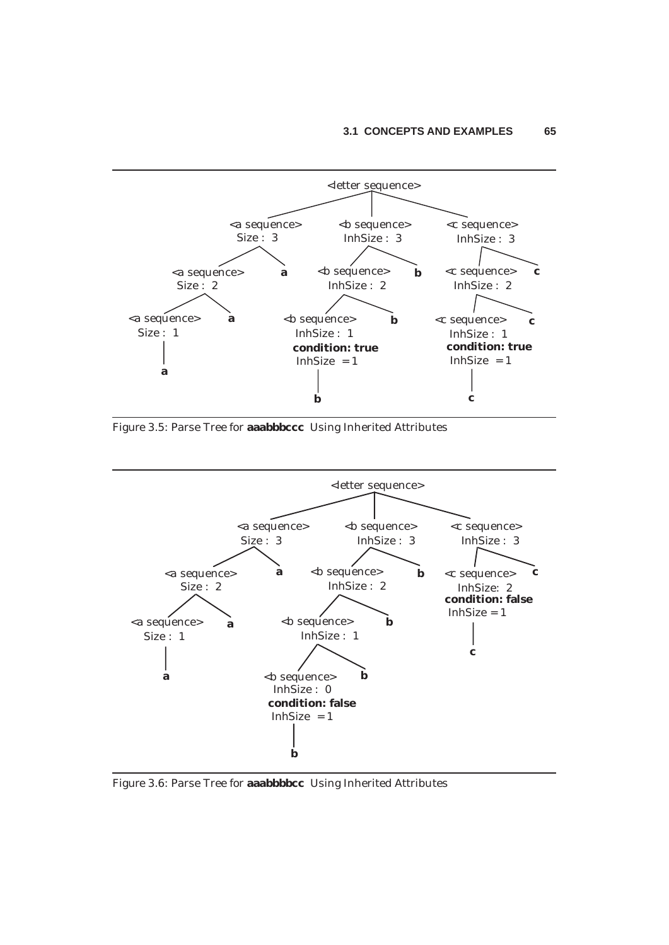

*Figure 3.5*: Parse Tree for **aaabbbccc** Using Inherited Attributes



*Figure 3.6*: Parse Tree for **aaabbbbcc** Using Inherited Attributes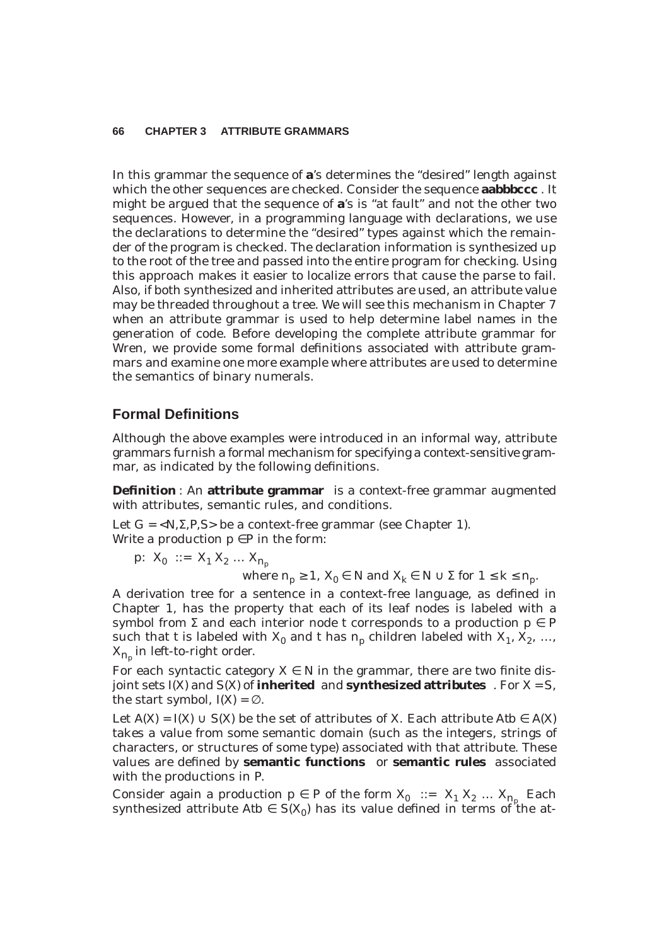In this grammar the sequence of **a**'s determines the "desired" length against which the other sequences are checked. Consider the sequence **aabbbccc** . It might be argued that the sequence of **a**'s is "at fault" and not the other two sequences. However, in a programming language with declarations, we use the declarations to determine the "desired" types against which the remainder of the program is checked. The declaration information is synthesized up to the root of the tree and passed into the entire program for checking. Using this approach makes it easier to localize errors that cause the parse to fail. Also, if both synthesized and inherited attributes are used, an attribute value may be threaded throughout a tree. We will see this mechanism in Chapter 7 when an attribute grammar is used to help determine label names in the generation of code. Before developing the complete attribute grammar for Wren, we provide some formal definitions associated with attribute grammars and examine one more example where attributes are used to determine the semantics of binary numerals.

## **Formal Definitions**

Although the above examples were introduced in an informal way, attribute grammars furnish a formal mechanism for specifying a context-sensitive grammar, as indicated by the following definitions.

**Definition** : An **attribute grammar** is a context-free grammar augmented with attributes, semantic rules, and conditions.

Let  $G = \langle N, \Sigma, P, S \rangle$  be a context-free grammar (see Chapter 1). Write a production  $p \in P$  in the form:

p:  $X_0$  ::=  $X_1 X_2 ... X_{n_m}$ 

where  $n_p \ge 1$ ,  $X_0 \in N$  and  $X_k \in N \cup \Sigma$  for  $1 \le k \le n_p$ .

A derivation tree for a sentence in a context-free language, as defined in Chapter 1, has the property that each of its leaf nodes is labeled with a symbol from  $\Sigma$  and each interior node t corresponds to a production  $p \in P$ such that t is labeled with  $X_0$  and t has  $n_p$  children labeled with  $X_1, X_2, ...,$  $X_{n_n}$  in left-to-right order.

For each syntactic category  $X \in N$  in the grammar, there are two finite disjoint sets  $I(X)$  and  $S(X)$  of **inherited** and **synthesized attributes** . For  $X = S$ , the start symbol,  $I(X) = \emptyset$ .

Let  $A(X) = I(X)$  ∪ S(X) be the set of attributes of X. Each attribute  $Atb \in A(X)$ takes a value from some semantic domain (such as the integers, strings of characters, or structures of some type) associated with that attribute. These values are defined by **semantic functions** or **semantic rules** associated with the productions in P.

Consider again a production  $p \in P$  of the form  $X_0 ::= X_1 X_2 ... X_{n_p}$  Each synthesized attribute  $Atb \in S(X_0)$  has its value defined in terms of the at-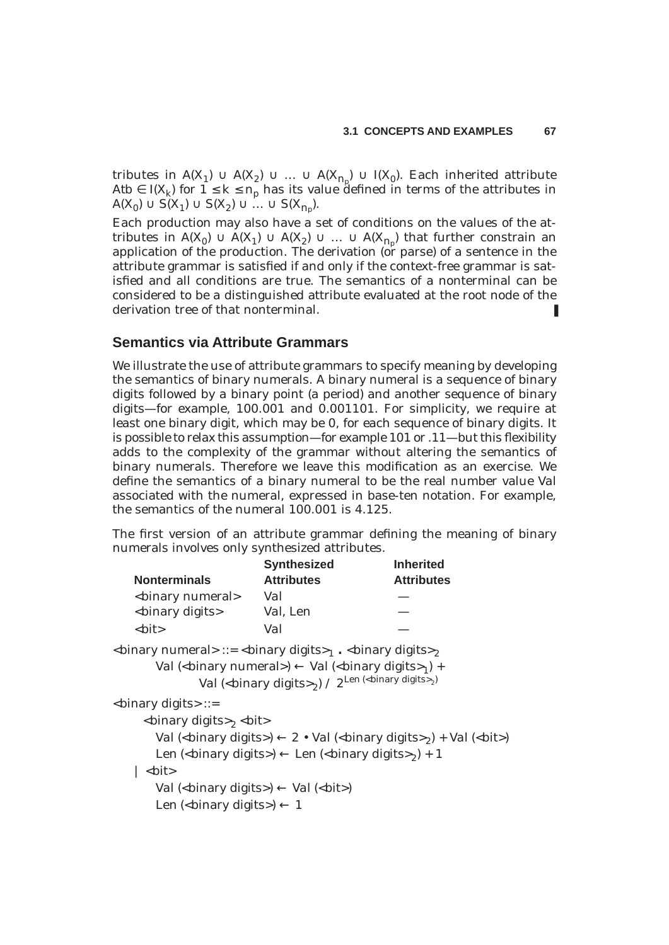tributes in  $A(X_1) \cup A(X_2) \cup ... \cup A(X_{n_p}) \cup I(X_0)$ . Each inherited attribute *Atb* ∈ I( $X_k$ ) for  $1 \le k \le n_p$  has its value defined in terms of the attributes in  $A(X_0) \cup S(X_1) \cup S(X_2) \cup \ldots \cup S(X_{n_n}).$ 

Each production may also have a set of conditions on the values of the attributes in A(X<sub>0</sub>) ∪ A(X<sub>1</sub>) ∪ A(X<sub>2</sub>) ∪ … ∪ A(X<sub>n<sub>n</sub></sub>) that further constrain an application of the production. The derivation (or parse) of a sentence in the attribute grammar is satisfied if and only if the context-free grammar is satisfied and all conditions are true. The semantics of a nonterminal can be considered to be a distinguished attribute evaluated at the root node of the derivation tree of that nonterminal.

## **Semantics via Attribute Grammars**

We illustrate the use of attribute grammars to specify meaning by developing the semantics of binary numerals. A binary numeral is a sequence of binary digits followed by a binary point (a period) and another sequence of binary digits—for example, 100.001 and 0.001101. For simplicity, we require at least one binary digit, which may be 0, for each sequence of binary digits. It is possible to relax this assumption—for example 101 or .11—but this flexibility adds to the complexity of the grammar without altering the semantics of binary numerals. Therefore we leave this modification as an exercise. We define the semantics of a binary numeral to be the real number value *Val* associated with the numeral, expressed in base-ten notation. For example, the semantics of the numeral 100.001 is 4.125.

The first version of an attribute grammar defining the meaning of binary numerals involves only synthesized attributes.

| <b>Nonterminals</b>                                                                                         | <b>Synthesized</b><br><b>Attributes</b>                                                                                                                       | <b>Inherited</b><br><b>Attributes</b>                                                             |  |
|-------------------------------------------------------------------------------------------------------------|---------------------------------------------------------------------------------------------------------------------------------------------------------------|---------------------------------------------------------------------------------------------------|--|
| <br>binary numeral>                                                                                         | Val                                                                                                                                                           |                                                                                                   |  |
| <br>shinary digits>                                                                                         | Val, Len                                                                                                                                                      |                                                                                                   |  |
| <bit></bit>                                                                                                 | Val                                                                                                                                                           |                                                                                                   |  |
| $\langle$ binary numeral> ::= $\langle$ binary digits> <sub>1</sub> . $\langle$ binary digits> <sub>2</sub> | <i>Val</i> (<br>binary numeral>) $\leftarrow$ <i>Val</i> (<br>binary digits> <sub>1</sub> ) +<br>Val (<br>cbinary digits>2) / $2^{Len$ (<br>cbinary digits>2) |                                                                                                   |  |
| <binary digits=""> ::=</binary>                                                                             |                                                                                                                                                               |                                                                                                   |  |
| $\langle$ binary digits> <sub>2</sub> $\langle$ bit>                                                        |                                                                                                                                                               | Val (<br>binary digits>) $\leftarrow$ 2 • Val (<br>binary digits> <sub>2</sub> ) + Val (<br>bit>) |  |

*Len*  $\langle$  binary digits> $\rangle \leftarrow$  *Len*  $\langle$  binary digits><sub>2</sub> $\rangle$  + 1

 $\vert$  <br/> <br/> <br/> <br/> <br/> <br/> <br/> <br/> <br/> <br/> <br/> <br/> <br/> <br/> <br/> <br/> <br/> <br/> <br/> <br/> <br/> <br/> <br/> <br/> <br/> <br/> <br/> <br/> <br/> <br/> <br/> <br/> <br/> <br/> <br/> <br/>

*Val* (<br/>cbinary digits>)  $\leftarrow$  *Val* (<br/>cbit>)

```
Len (<br/>cbinary digits>) \leftarrow 1
```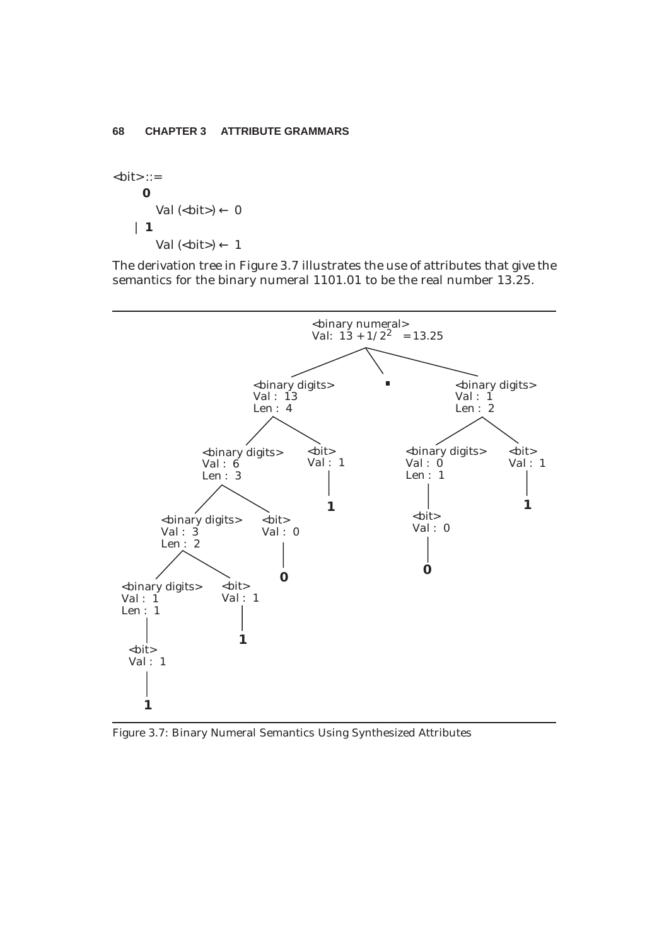```
::
        0
            Val (<br/>cbit>) \leftarrow 0
      | 1
            Val (<br/>cbit>) \leftarrow 1
```
The derivation tree in Figure 3.7 illustrates the use of attributes that give the semantics for the binary numeral 1101.01 to be the real number 13.25.



*Figure 3.7*: Binary Numeral Semantics Using Synthesized Attributes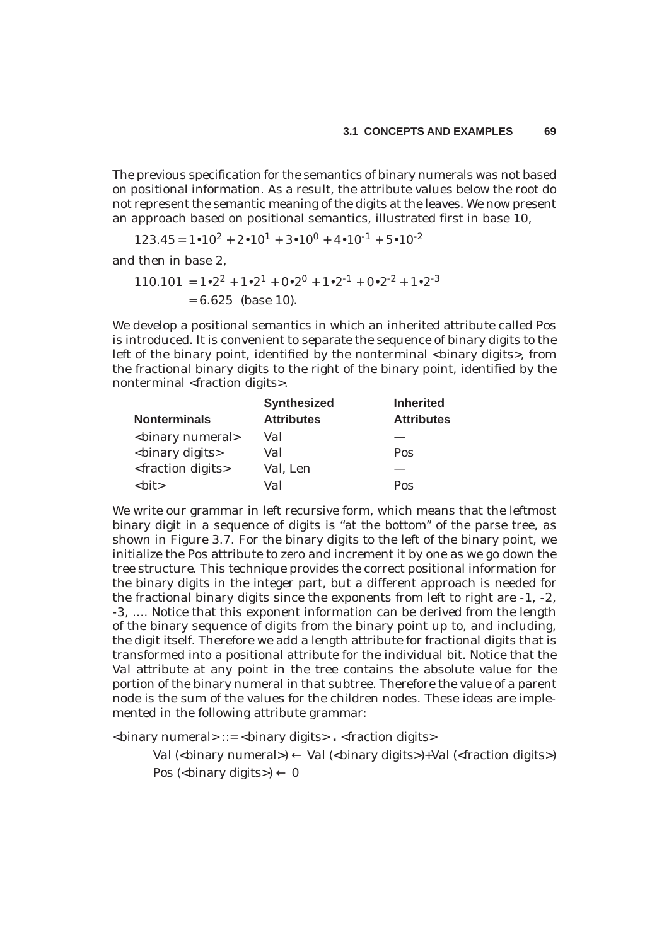The previous specification for the semantics of binary numerals was not based on positional information. As a result, the attribute values below the root do not represent the semantic meaning of the digits at the leaves. We now present an approach based on positional semantics, illustrated first in base 10,

$$
123.45 = 1 \cdot 10^2 + 2 \cdot 10^1 + 3 \cdot 10^0 + 4 \cdot 10^{-1} + 5 \cdot 10^{-2}
$$

and then in base 2,

$$
110.101 = 1 \cdot 2^2 + 1 \cdot 2^1 + 0 \cdot 2^0 + 1 \cdot 2^{-1} + 0 \cdot 2^{-2} + 1 \cdot 2^{-3}
$$
  
= 6.625 (base 10).

We develop a positional semantics in which an inherited attribute called *Pos* is introduced. It is convenient to separate the sequence of binary digits to the left of the binary point, identified by the nonterminal <binary digits>, from the fractional binary digits to the right of the binary point, identified by the nonterminal <fraction digits>.

|                                                               | <b>Synthesized</b> | <b>Inherited</b>  |
|---------------------------------------------------------------|--------------------|-------------------|
| <b>Nonterminals</b>                                           | <b>Attributes</b>  | <b>Attributes</b> |
| <br>shiddenlerging shidden and<br>$\alpha$<br>binary numeral> | Val                |                   |
| <br>shiddenlight>                                             | Val                | Pos               |
| <fraction digits=""></fraction>                               | Val, Len           |                   |
| $\langle \text{bit} \rangle$                                  | Val                | Pos               |

We write our grammar in left recursive form, which means that the leftmost binary digit in a sequence of digits is "at the bottom" of the parse tree, as shown in Figure 3.7. For the binary digits to the left of the binary point, we initialize the *Pos* attribute to zero and increment it by one as we go down the tree structure. This technique provides the correct positional information for the binary digits in the integer part, but a different approach is needed for the fractional binary digits since the exponents from left to right are -1, -2, -3, .... Notice that this exponent information can be derived from the length of the binary sequence of digits from the binary point up to, and including, the digit itself. Therefore we add a length attribute for fractional digits that is transformed into a positional attribute for the individual bit. Notice that the *Val* attribute at any point in the tree contains the absolute value for the portion of the binary numeral in that subtree. Therefore the value of a parent node is the sum of the values for the children nodes. These ideas are implemented in the following attribute grammar:

<binary numeral> ::= <binary digits> **.** <fraction digits>

*Val* (<binary numeral>) ← *Val* (<binary digits>)+*Val* (<fraction digits>) *Pos* (<br/>binary digits>)  $\leftarrow$  0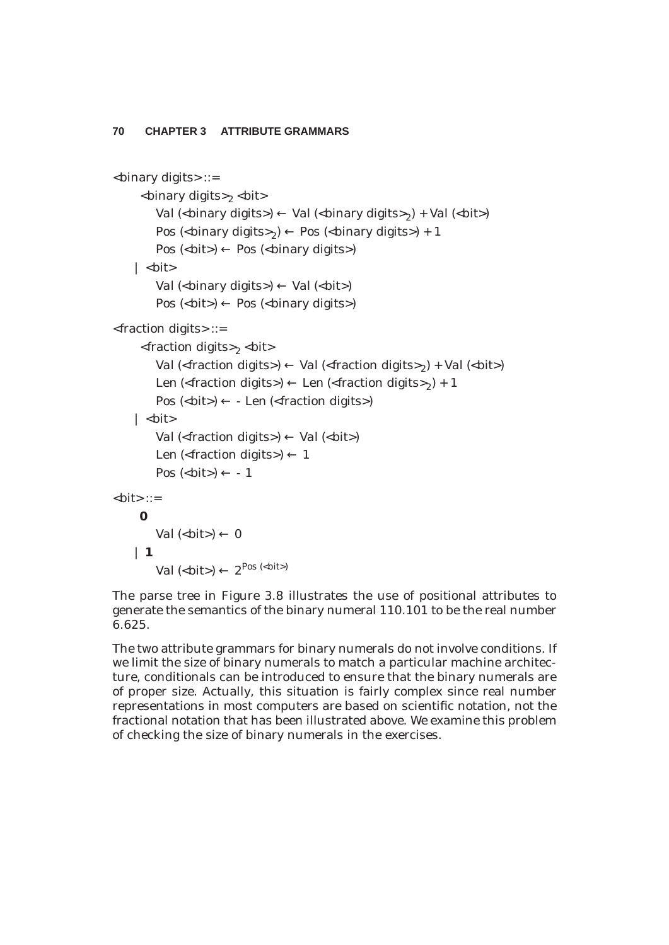```
<binary digits> ::=
       \langlebinary digits\langle\rangle\langlebit\rangleVal (\text{binary digits}) \leftarrow \text{Val}(\text{binary digits}>_2) + \text{Val}(\text{shift}>_1)Pos (<br/>cbinary digits><sub>2</sub>) ← Pos (<br/>cbinary digits>) + 1
           Pos (<br/>cbit>) \leftarrow Pos (<br/>cbinary digits>)
      | <br/>bit>
           Val (<br/>cbinary digits>) \leftarrow Val (<br/>cbit>)
           Pos (<br/>cbit>) \leftarrow Pos (<br/>cbinary digits>)
<fraction digits> ::=
       \langle fraction digits>2 \langle bit\rangleVal (<fraction digits>) \leftarrow Val (<fraction digits><sub>2</sub>) + Val (<br/>cbit>)
           Len (<fraction digits>) \leftarrow Len (<fraction digits><sub>2</sub>) + 1
           Pos (<br/>cbit>) \leftarrow - Len (<fraction digits>)
      \vert <br/>bit>
           Val (<fraction digits>) \leftarrow Val (<br/>cbit>)
           Len (<fraction digits>) \leftarrow 1
           Pos (\text{chit}) \leftarrow -1::=
        0
           Val (<br/>cbit>) \leftarrow 0
     | 1
           Val(\text{chit}) \leftarrow 2^{Pos(\text{chit})}
```
The parse tree in Figure 3.8 illustrates the use of positional attributes to generate the semantics of the binary numeral 110.101 to be the real number 6.625.

The two attribute grammars for binary numerals do not involve conditions. If we limit the size of binary numerals to match a particular machine architecture, conditionals can be introduced to ensure that the binary numerals are of proper size. Actually, this situation is fairly complex since real number representations in most computers are based on scientific notation, not the fractional notation that has been illustrated above. We examine this problem of checking the size of binary numerals in the exercises.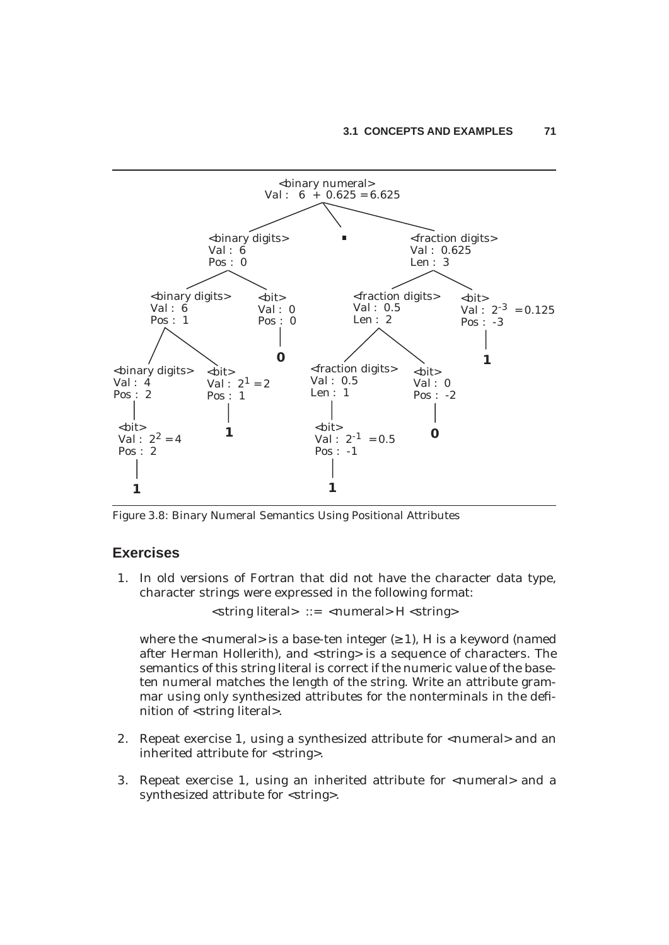

*Figure 3.8*: Binary Numeral Semantics Using Positional Attributes

## **Exercises**

1. In old versions of Fortran that did not have the character data type, character strings were expressed in the following format:

<string literal> ::= <numeral> H <string>

where the <numeral> is a base-ten integer  $(≥ 1)$ , H is a keyword (named after Herman Hollerith), and <string> is a sequence of characters. The semantics of this string literal is correct if the numeric value of the baseten numeral matches the length of the string. Write an attribute grammar using only synthesized attributes for the nonterminals in the definition of <string literal>.

- 2. Repeat exercise 1, using a synthesized attribute for <numeral> and an inherited attribute for <string>.
- 3. Repeat exercise 1, using an inherited attribute for <numeral> and a synthesized attribute for <string>.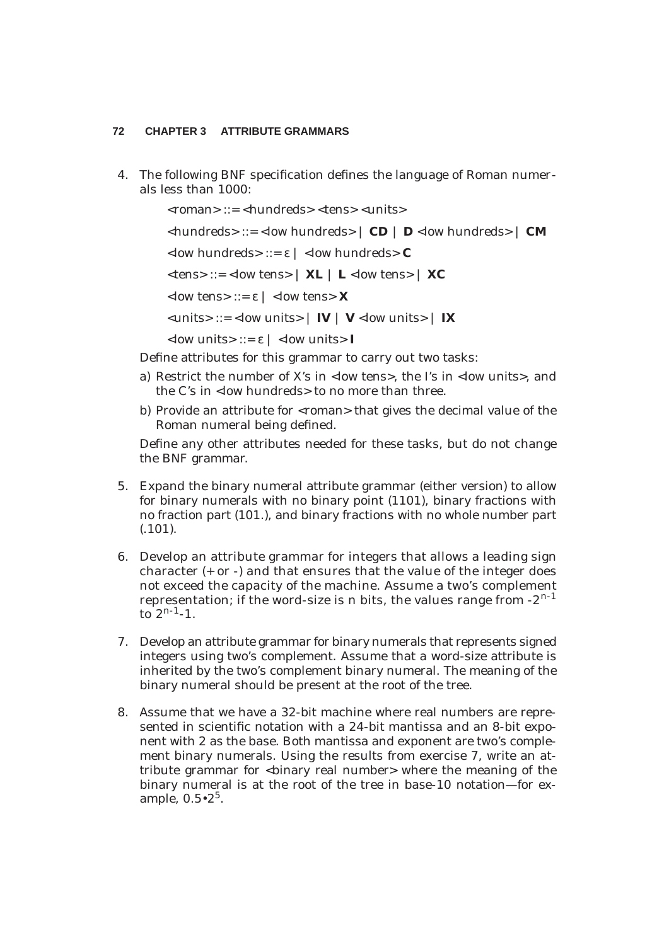4. The following BNF specification defines the language of Roman numerals less than 1000:

> <roman> ::= <hundreds> <tens> <units> <hundreds> ::= <low hundreds> | **CD** | **D** <low hundreds> | **CM**  $\langle$ low hundreds> ::= ε |  $\langle$ low hundreds> **C**  $\langle$  tens> ::=  $\langle$  low tens> | **XL** | **L**  $\langle$  low tens> | **XC**  $\langle$  <low tens> ::= ε |  $\langle$  low tens> **X** <units> ::= <low units> | **IV** | **V** <low units> | **IX**  $\langle$  <low units> ::=  $\varepsilon$  |  $\langle$  <low units> **I**

Define attributes for this grammar to carry out two tasks:

- a) Restrict the number of X's in <low tens>, the I's in <low units>, and the C's in < low hundreds > to no more than three.
- b) Provide an attribute for <roman> that gives the decimal value of the Roman numeral being defined.

Define any other attributes needed for these tasks, but do not change the BNF grammar.

- 5. Expand the binary numeral attribute grammar (either version) to allow for binary numerals with no binary point (1101), binary fractions with no fraction part (101.), and binary fractions with no whole number part (.101).
- 6. Develop an attribute grammar for integers that allows a leading sign character (+ or -) and that ensures that the value of the integer does not exceed the capacity of the machine. Assume a two's complement representation; if the word-size is n bits, the values range from  $-2^{n-1}$  $\frac{1}{2^{n-1}-1}$ .
- 7. Develop an attribute grammar for binary numerals that represents signed integers using two's complement. Assume that a word-size attribute is inherited by the two's complement binary numeral. The meaning of the binary numeral should be present at the root of the tree.
- 8. Assume that we have a 32-bit machine where real numbers are represented in scientific notation with a 24-bit mantissa and an 8-bit exponent with 2 as the base. Both mantissa and exponent are two's complement binary numerals. Using the results from exercise 7, write an attribute grammar for <binary real number> where the meaning of the binary numeral is at the root of the tree in base-10 notation—for example,  $0.5 \cdot 2^5$ .